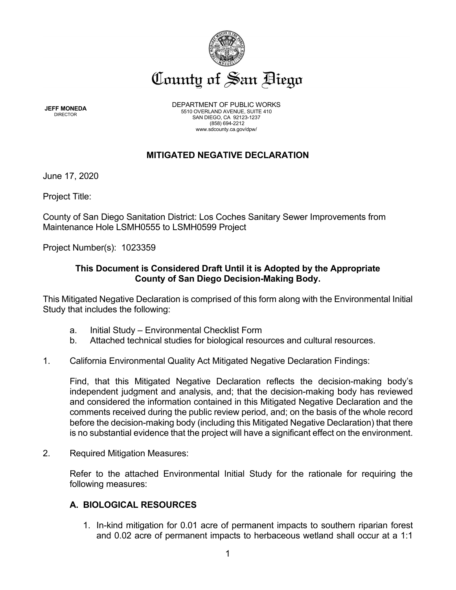

**JEFF MONEDA** DIRECTOR

DEPARTMENT OF PUBLIC WORKS 5510 OVERLAND AVENUE, SUITE 410 SAN DIEGO, CA 92123-1237 (858) 694-2212 www.sdcounty.ca.gov/dpw/

## **MITIGATED NEGATIVE DECLARATION**

June 17, 2020

Project Title:

County of San Diego Sanitation District: Los Coches Sanitary Sewer Improvements from Maintenance Hole LSMH0555 to LSMH0599 Project

Project Number(s): 1023359

## **This Document is Considered Draft Until it is Adopted by the Appropriate County of San Diego Decision-Making Body.**

This Mitigated Negative Declaration is comprised of this form along with the Environmental Initial Study that includes the following:

- a. Initial Study Environmental Checklist Form
- b. Attached technical studies for biological resources and cultural resources.
- 1. California Environmental Quality Act Mitigated Negative Declaration Findings:

Find, that this Mitigated Negative Declaration reflects the decision-making body's independent judgment and analysis, and; that the decision-making body has reviewed and considered the information contained in this Mitigated Negative Declaration and the comments received during the public review period, and; on the basis of the whole record before the decision-making body (including this Mitigated Negative Declaration) that there is no substantial evidence that the project will have a significant effect on the environment.

2. Required Mitigation Measures:

Refer to the attached Environmental Initial Study for the rationale for requiring the following measures:

## **A. BIOLOGICAL RESOURCES**

1. In-kind mitigation for 0.01 acre of permanent impacts to southern riparian forest and 0.02 acre of permanent impacts to herbaceous wetland shall occur at a 1:1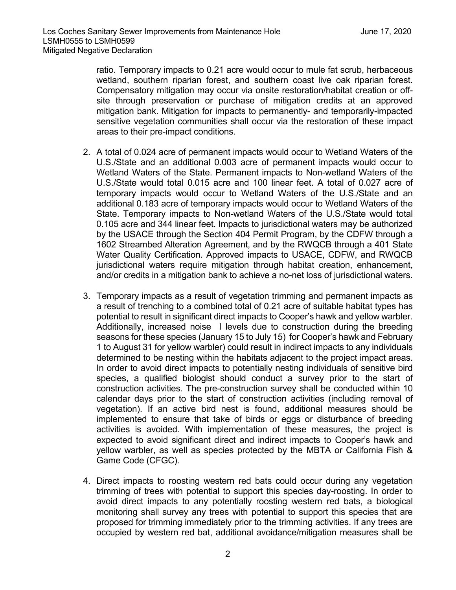ratio. Temporary impacts to 0.21 acre would occur to mule fat scrub, herbaceous wetland, southern riparian forest, and southern coast live oak riparian forest. Compensatory mitigation may occur via onsite restoration/habitat creation or offsite through preservation or purchase of mitigation credits at an approved mitigation bank. Mitigation for impacts to permanently- and temporarily-impacted sensitive vegetation communities shall occur via the restoration of these impact areas to their pre-impact conditions.

- 2. A total of 0.024 acre of permanent impacts would occur to Wetland Waters of the U.S./State and an additional 0.003 acre of permanent impacts would occur to Wetland Waters of the State. Permanent impacts to Non-wetland Waters of the U.S./State would total 0.015 acre and 100 linear feet. A total of 0.027 acre of temporary impacts would occur to Wetland Waters of the U.S./State and an additional 0.183 acre of temporary impacts would occur to Wetland Waters of the State. Temporary impacts to Non-wetland Waters of the U.S./State would total 0.105 acre and 344 linear feet. Impacts to jurisdictional waters may be authorized by the USACE through the Section 404 Permit Program, by the CDFW through a 1602 Streambed Alteration Agreement, and by the RWQCB through a 401 State Water Quality Certification. Approved impacts to USACE, CDFW, and RWQCB jurisdictional waters require mitigation through habitat creation, enhancement, and/or credits in a mitigation bank to achieve a no-net loss of jurisdictional waters.
- 3. Temporary impacts as a result of vegetation trimming and permanent impacts as a result of trenching to a combined total of 0.21 acre of suitable habitat types has potential to result in significant direct impacts to Cooper's hawk and yellow warbler. Additionally, increased noise l levels due to construction during the breeding seasons for these species (January 15 to July 15) for Cooper's hawk and February 1 to August 31 for yellow warbler) could result in indirect impacts to any individuals determined to be nesting within the habitats adjacent to the project impact areas. In order to avoid direct impacts to potentially nesting individuals of sensitive bird species, a qualified biologist should conduct a survey prior to the start of construction activities. The pre-construction survey shall be conducted within 10 calendar days prior to the start of construction activities (including removal of vegetation). If an active bird nest is found, additional measures should be implemented to ensure that take of birds or eggs or disturbance of breeding activities is avoided. With implementation of these measures, the project is expected to avoid significant direct and indirect impacts to Cooper's hawk and yellow warbler, as well as species protected by the MBTA or California Fish & Game Code (CFGC).
- 4. Direct impacts to roosting western red bats could occur during any vegetation trimming of trees with potential to support this species day-roosting. In order to avoid direct impacts to any potentially roosting western red bats, a biological monitoring shall survey any trees with potential to support this species that are proposed for trimming immediately prior to the trimming activities. If any trees are occupied by western red bat, additional avoidance/mitigation measures shall be